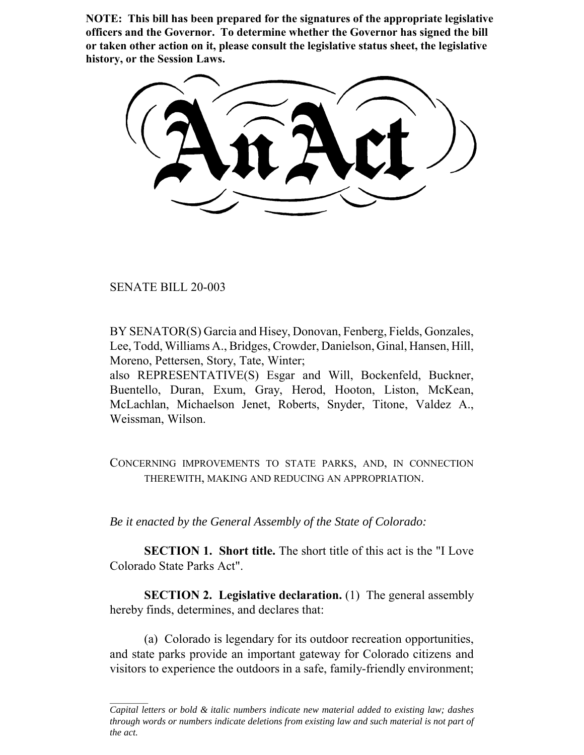**NOTE: This bill has been prepared for the signatures of the appropriate legislative officers and the Governor. To determine whether the Governor has signed the bill or taken other action on it, please consult the legislative status sheet, the legislative history, or the Session Laws.**

SENATE BILL 20-003

BY SENATOR(S) Garcia and Hisey, Donovan, Fenberg, Fields, Gonzales, Lee, Todd, Williams A., Bridges, Crowder, Danielson, Ginal, Hansen, Hill, Moreno, Pettersen, Story, Tate, Winter;

also REPRESENTATIVE(S) Esgar and Will, Bockenfeld, Buckner, Buentello, Duran, Exum, Gray, Herod, Hooton, Liston, McKean, McLachlan, Michaelson Jenet, Roberts, Snyder, Titone, Valdez A., Weissman, Wilson.

CONCERNING IMPROVEMENTS TO STATE PARKS, AND, IN CONNECTION THEREWITH, MAKING AND REDUCING AN APPROPRIATION.

*Be it enacted by the General Assembly of the State of Colorado:*

**SECTION 1. Short title.** The short title of this act is the "I Love Colorado State Parks Act".

**SECTION 2. Legislative declaration.** (1) The general assembly hereby finds, determines, and declares that:

(a) Colorado is legendary for its outdoor recreation opportunities, and state parks provide an important gateway for Colorado citizens and visitors to experience the outdoors in a safe, family-friendly environment;

*Capital letters or bold & italic numbers indicate new material added to existing law; dashes through words or numbers indicate deletions from existing law and such material is not part of the act.*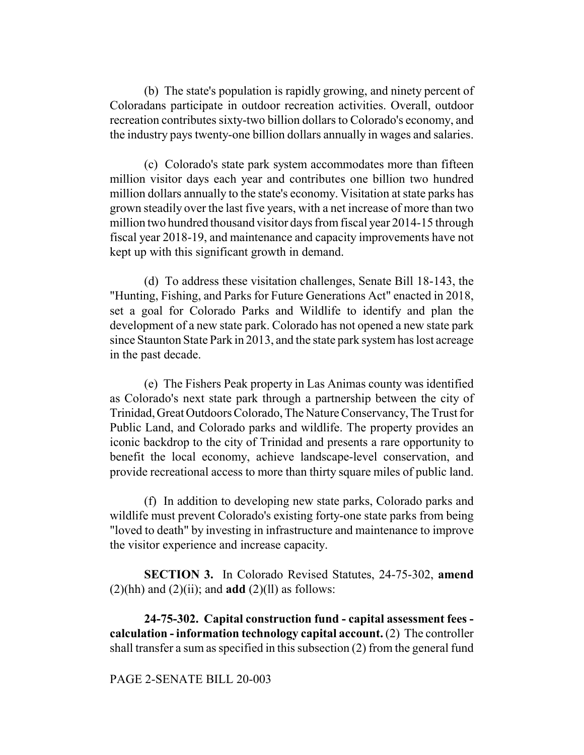(b) The state's population is rapidly growing, and ninety percent of Coloradans participate in outdoor recreation activities. Overall, outdoor recreation contributes sixty-two billion dollars to Colorado's economy, and the industry pays twenty-one billion dollars annually in wages and salaries.

(c) Colorado's state park system accommodates more than fifteen million visitor days each year and contributes one billion two hundred million dollars annually to the state's economy. Visitation at state parks has grown steadily over the last five years, with a net increase of more than two million two hundred thousand visitor days from fiscal year 2014-15 through fiscal year 2018-19, and maintenance and capacity improvements have not kept up with this significant growth in demand.

(d) To address these visitation challenges, Senate Bill 18-143, the "Hunting, Fishing, and Parks for Future Generations Act" enacted in 2018, set a goal for Colorado Parks and Wildlife to identify and plan the development of a new state park. Colorado has not opened a new state park since Staunton State Park in 2013, and the state park system has lost acreage in the past decade.

(e) The Fishers Peak property in Las Animas county was identified as Colorado's next state park through a partnership between the city of Trinidad, Great Outdoors Colorado, The Nature Conservancy, The Trust for Public Land, and Colorado parks and wildlife. The property provides an iconic backdrop to the city of Trinidad and presents a rare opportunity to benefit the local economy, achieve landscape-level conservation, and provide recreational access to more than thirty square miles of public land.

(f) In addition to developing new state parks, Colorado parks and wildlife must prevent Colorado's existing forty-one state parks from being "loved to death" by investing in infrastructure and maintenance to improve the visitor experience and increase capacity.

**SECTION 3.** In Colorado Revised Statutes, 24-75-302, **amend**  $(2)(hh)$  and  $(2)(ii)$ ; and **add**  $(2)(ll)$  as follows:

**24-75-302. Capital construction fund - capital assessment fees calculation - information technology capital account.** (2) The controller shall transfer a sum as specified in this subsection (2) from the general fund

## PAGE 2-SENATE BILL 20-003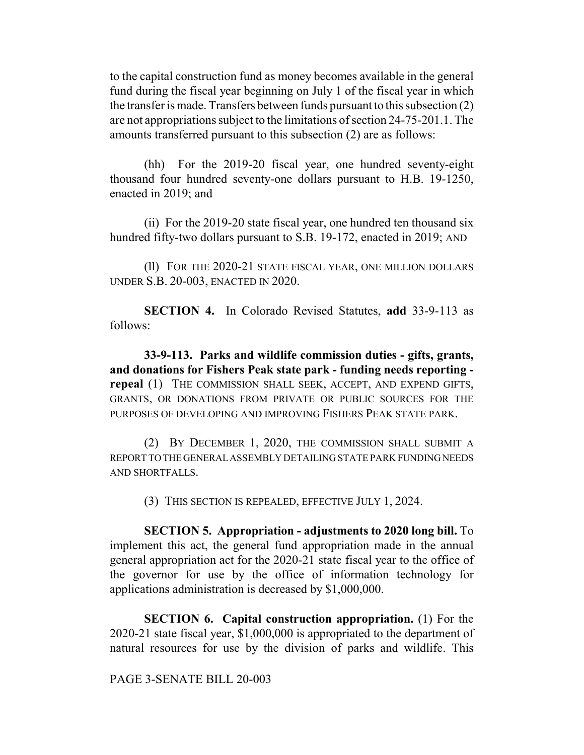to the capital construction fund as money becomes available in the general fund during the fiscal year beginning on July 1 of the fiscal year in which the transfer is made. Transfers between funds pursuant to this subsection (2) are not appropriations subject to the limitations of section 24-75-201.1. The amounts transferred pursuant to this subsection (2) are as follows:

(hh) For the 2019-20 fiscal year, one hundred seventy-eight thousand four hundred seventy-one dollars pursuant to H.B. 19-1250, enacted in 2019; and

(ii) For the 2019-20 state fiscal year, one hundred ten thousand six hundred fifty-two dollars pursuant to S.B. 19-172, enacted in 2019; AND

(ll) FOR THE 2020-21 STATE FISCAL YEAR, ONE MILLION DOLLARS UNDER S.B. 20-003, ENACTED IN 2020.

**SECTION 4.** In Colorado Revised Statutes, **add** 33-9-113 as follows:

**33-9-113. Parks and wildlife commission duties - gifts, grants, and donations for Fishers Peak state park - funding needs reporting repeal** (1) THE COMMISSION SHALL SEEK, ACCEPT, AND EXPEND GIFTS, GRANTS, OR DONATIONS FROM PRIVATE OR PUBLIC SOURCES FOR THE PURPOSES OF DEVELOPING AND IMPROVING FISHERS PEAK STATE PARK.

(2) BY DECEMBER 1, 2020, THE COMMISSION SHALL SUBMIT A REPORT TO THE GENERAL ASSEMBLY DETAILING STATE PARK FUNDING NEEDS AND SHORTFALLS.

(3) THIS SECTION IS REPEALED, EFFECTIVE JULY 1, 2024.

**SECTION 5. Appropriation - adjustments to 2020 long bill.** To implement this act, the general fund appropriation made in the annual general appropriation act for the 2020-21 state fiscal year to the office of the governor for use by the office of information technology for applications administration is decreased by \$1,000,000.

**SECTION 6. Capital construction appropriation.** (1) For the 2020-21 state fiscal year, \$1,000,000 is appropriated to the department of natural resources for use by the division of parks and wildlife. This

PAGE 3-SENATE BILL 20-003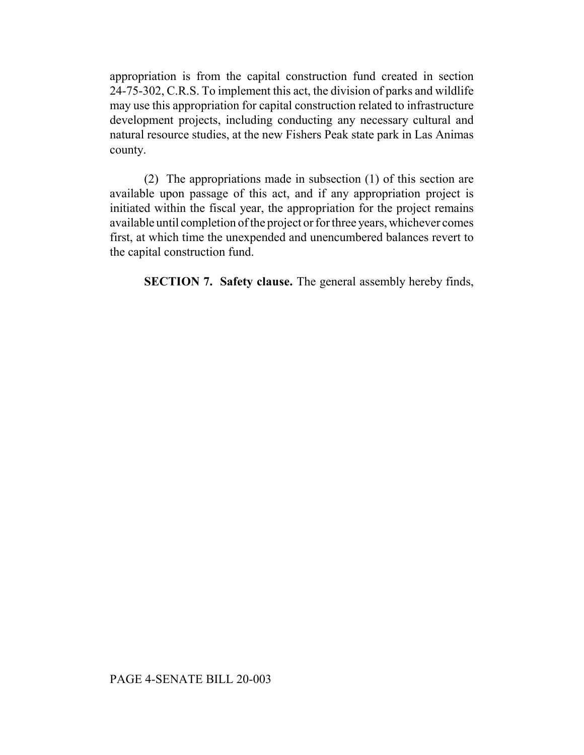appropriation is from the capital construction fund created in section 24-75-302, C.R.S. To implement this act, the division of parks and wildlife may use this appropriation for capital construction related to infrastructure development projects, including conducting any necessary cultural and natural resource studies, at the new Fishers Peak state park in Las Animas county.

(2) The appropriations made in subsection (1) of this section are available upon passage of this act, and if any appropriation project is initiated within the fiscal year, the appropriation for the project remains available until completion of the project or for three years, whichever comes first, at which time the unexpended and unencumbered balances revert to the capital construction fund.

**SECTION 7. Safety clause.** The general assembly hereby finds,